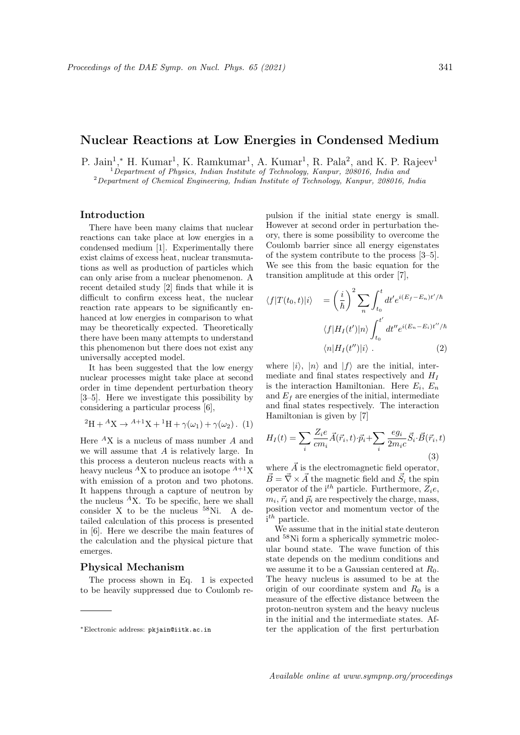## Nuclear Reactions at Low Energies in Condensed Medium

P. Jain<sup>1</sup>,\* H. Kumar<sup>1</sup>, K. Ramkumar<sup>1</sup>, A. Kumar<sup>1</sup>, R. Pala<sup>2</sup>, and K. P. Rajeev<sup>1</sup>  $1$  Department of Physics, Indian Institute of Technology, Kanpur, 208016, India and <sup>2</sup>Department of Chemical Engineering, Indian Institute of Technology, Kanpur, 208016, India

## Introduction

There have been many claims that nuclear reactions can take place at low energies in a condensed medium [1]. Experimentally there exist claims of excess heat, nuclear transmutations as well as production of particles which can only arise from a nuclear phenomenon. A recent detailed study [2] finds that while it is difficult to confirm excess heat, the nuclear reaction rate appears to be significantly enhanced at low energies in comparison to what may be theoretically expected. Theoretically there have been many attempts to understand this phenomenon but there does not exist any universally accepted model.

It has been suggested that the low energy nuclear processes might take place at second order in time dependent perturbation theory [3–5]. Here we investigate this possibility by considering a particular process [6],

$$
{}^{2}H + {}^{A}X \rightarrow {}^{A+1}X + {}^{1}H + \gamma(\omega_{1}) + \gamma(\omega_{2}). (1)
$$

Here  ${}^A$ X is a nucleus of mass number A and we will assume that A is relatively large. In this process a deuteron nucleus reacts with a heavy nucleus  ${}^A$ X to produce an isotope  ${}^{A+1}$ X with emission of a proton and two photons. It happens through a capture of neutron by the nucleus  ${}^A$ X. To be specific, here we shall consider X to be the nucleus <sup>58</sup>Ni. A detailed calculation of this process is presented in [6]. Here we describe the main features of the calculation and the physical picture that emerges.

## Physical Mechanism

The process shown in Eq. 1 is expected to be heavily suppressed due to Coulomb repulsion if the initial state energy is small. However at second order in perturbation theory, there is some possibility to overcome the Coulomb barrier since all energy eigenstates of the system contribute to the process [3–5]. We see this from the basic equation for the transition amplitude at this order [7],

$$
\langle f|T(t_0, t)|i\rangle = \left(\frac{i}{\hbar}\right)^2 \sum_n \int_{t_0}^t dt' e^{i(E_f - E_n)t'/\hbar}
$$

$$
\langle f|H_I(t')|n\rangle \int_{t_0}^{t'} dt'' e^{i(E_n - E_i)t''/\hbar}
$$

$$
\langle n|H_I(t'')|i\rangle . \tag{2}
$$

where  $|i\rangle$ ,  $|n\rangle$  and  $|f\rangle$  are the initial, intermediate and final states respectively and  $H_I$ is the interaction Hamiltonian. Here  $E_i$ ,  $E_n$ and  $E_f$  are energies of the initial, intermediate and final states respectively. The interaction Hamiltonian is given by [7]

$$
H_I(t) = \sum_i \frac{Z_i e}{cm_i} \vec{A}(\vec{r}_i, t) \cdot \vec{p}_i + \sum_i \frac{eg_i}{2m_i c} \vec{S}_i \cdot \vec{B}(\vec{r}_i, t)
$$
\n(3)

where  $\vec{A}$  is the electromagnetic field operator,  $\vec{B} = \vec{\nabla} \times \vec{A}$  the magnetic field and  $\vec{S}_i$  the spin operator of the i<sup>th</sup> particle. Furthermore,  $Z_i e$ ,  $m_i, \vec{r}_i$  and  $\vec{p}_i$  are respectively the charge, mass, position vector and momentum vector of the i<sup>th</sup> particle.

We assume that in the initial state deuteron and <sup>58</sup>Ni form a spherically symmetric molecular bound state. The wave function of this state depends on the medium conditions and we assume it to be a Gaussian centered at  $R_0$ . The heavy nucleus is assumed to be at the origin of our coordinate system and  $R_0$  is a measure of the effective distance between the proton-neutron system and the heavy nucleus in the initial and the intermediate states. After the application of the first perturbation

<sup>∗</sup>Electronic address: pkjain@iitk.ac.in